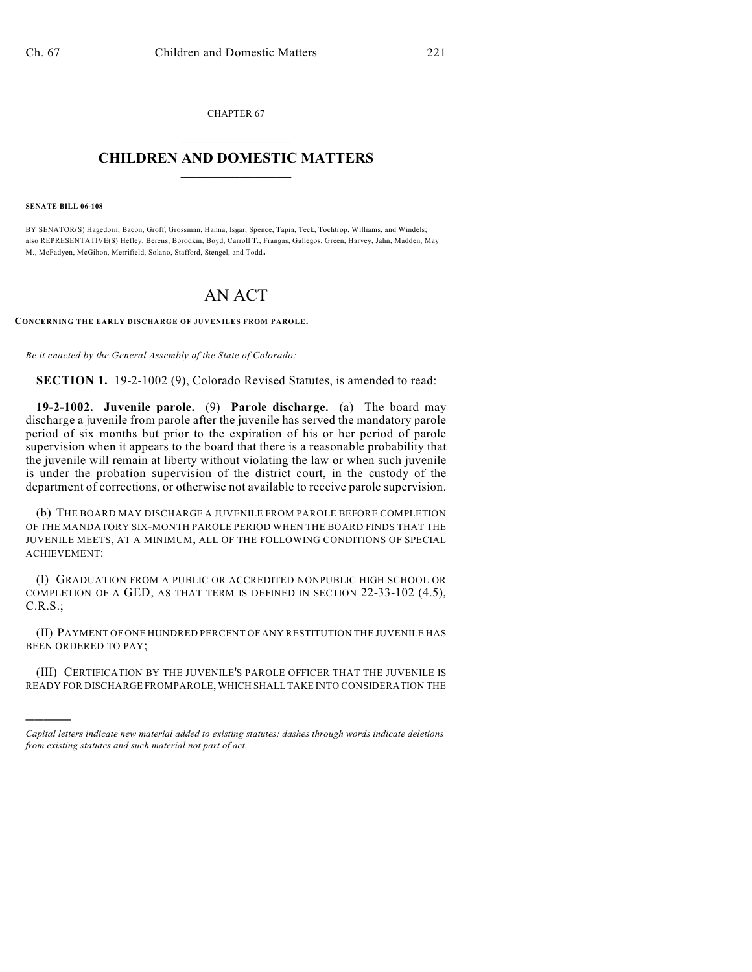CHAPTER 67  $\mathcal{L}_\text{max}$  . The set of the set of the set of the set of the set of the set of the set of the set of the set of the set of the set of the set of the set of the set of the set of the set of the set of the set of the set

## **CHILDREN AND DOMESTIC MATTERS**  $\_$

**SENATE BILL 06-108**

)))))

BY SENATOR(S) Hagedorn, Bacon, Groff, Grossman, Hanna, Isgar, Spence, Tapia, Teck, Tochtrop, Williams, and Windels; also REPRESENTATIVE(S) Hefley, Berens, Borodkin, Boyd, Carroll T., Frangas, Gallegos, Green, Harvey, Jahn, Madden, May M., McFadyen, McGihon, Merrifield, Solano, Stafford, Stengel, and Todd.

## AN ACT

**CONCERNING THE EARLY DISCHARGE OF JUVENILES FROM PAROLE.**

*Be it enacted by the General Assembly of the State of Colorado:*

**SECTION 1.** 19-2-1002 (9), Colorado Revised Statutes, is amended to read:

**19-2-1002. Juvenile parole.** (9) **Parole discharge.** (a) The board may discharge a juvenile from parole after the juvenile has served the mandatory parole period of six months but prior to the expiration of his or her period of parole supervision when it appears to the board that there is a reasonable probability that the juvenile will remain at liberty without violating the law or when such juvenile is under the probation supervision of the district court, in the custody of the department of corrections, or otherwise not available to receive parole supervision.

(b) THE BOARD MAY DISCHARGE A JUVENILE FROM PAROLE BEFORE COMPLETION OF THE MANDATORY SIX-MONTH PAROLE PERIOD WHEN THE BOARD FINDS THAT THE JUVENILE MEETS, AT A MINIMUM, ALL OF THE FOLLOWING CONDITIONS OF SPECIAL ACHIEVEMENT:

(I) GRADUATION FROM A PUBLIC OR ACCREDITED NONPUBLIC HIGH SCHOOL OR COMPLETION OF A GED, AS THAT TERM IS DEFINED IN SECTION 22-33-102 (4.5), C.R.S.;

(II) PAYMENT OF ONE HUNDRED PERCENT OF ANY RESTITUTION THE JUVENILE HAS BEEN ORDERED TO PAY;

(III) CERTIFICATION BY THE JUVENILE'S PAROLE OFFICER THAT THE JUVENILE IS READY FOR DISCHARGE FROMPAROLE, WHICH SHALL TAKE INTO CONSIDERATION THE

*Capital letters indicate new material added to existing statutes; dashes through words indicate deletions from existing statutes and such material not part of act.*